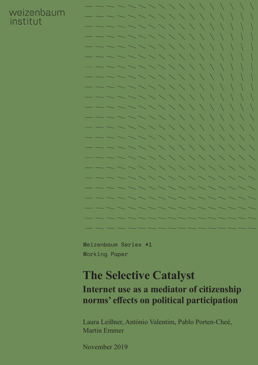### weizenbaum institut



Weizenbaum Series #1 Working Paper

# **The Selective Catalyst**

### **Internet use as a mediator of citizenship norms' effects on political participation**

Laura Leißner, António Valentim, Pablo Porten-Cheé, Martin Emmer

November 2019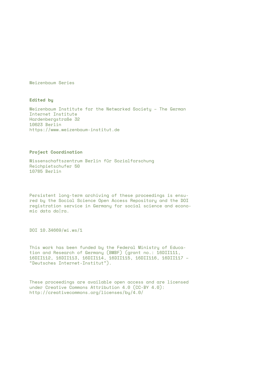Weizenbaum Series

**Edited by**

Weizenbaum Institute for the Networked Society – The German Internet Institute Hardenbergstraße 32 10623 Berlin https://www.weizenbaum-institut.de

#### **Project Coordination**

Wissenschaftszentrum Berlin für Sozialforschung Reichpietschufer 50 10785 Berlin

Persistent long-term archiving of these proceedings is ensured by the Social Science Open Access Repository and the DOI registration service in Germany for social science and economic data da|ra.

DOI 10.34669/wi.ws/1

This work has been funded by the Federal Ministry of Education and Research of Germany (BMBF) (grant no.: 16DII111, 16DII112, 16DII113, 16DII114, 16DII115, 16DII116, 16DII117 – "Deutsches Internet-Institut").

These proceedings are available open access and are licensed under Creative Commons Attribution 4.0 (CC-BY 4.0): http://creativecommons.org/licenses/by/4.0/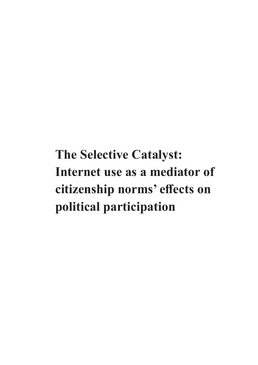**The Selective Catalyst: Internet use as a mediator of citizenship norms' effects on political participation**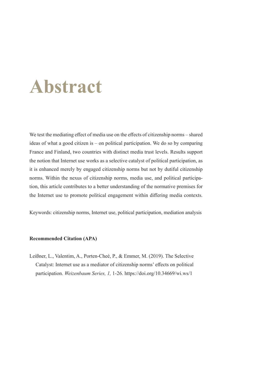# **Abstract**

We test the mediating effect of media use on the effects of citizenship norms – shared ideas of what a good citizen is – on political participation. We do so by comparing France and Finland, two countries with distinct media trust levels. Results support the notion that Internet use works as a selective catalyst of political participation, as it is enhanced merely by engaged citizenship norms but not by dutiful citizenship norms. Within the nexus of citizenship norms, media use, and political participation, this article contributes to a better understanding of the normative premises for the Internet use to promote political engagement within differing media contexts.

Keywords: citizenship norms, Internet use, political participation, mediation analysis

#### **Recommended Citation (APA)**

Leißner, L., Valentim, A., Porten-Cheé, P., & Emmer, M. (2019). The Selective Catalyst: Internet use as a mediator of citizenship norms' effects on political participation. *Weizenbaum Series, 1,* 1-26.<https://doi.org/10.34669/wi.ws/1>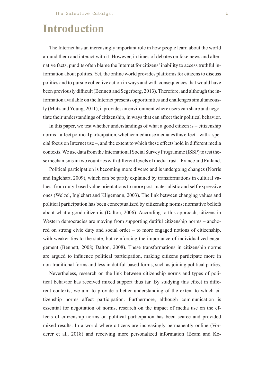# **Introduction**

The Internet has an increasingly important role in how people learn about the world around them and interact with it. However, in times of debates on fake news and alternative facts, pundits often blame the Internet for citizens' inability to access truthful information about politics. Yet, the online world provides platforms for citizens to discuss politics and to pursue collective action in ways and with consequences that would have been previously difficult (Bennett and Segerberg, 2013). Therefore, and although the information available on the Internet presents opportunities and challenges simultaneously (Mutz and Young, 2011), it provides an environment where users can share and negotiate their understandings of citizenship, in ways that can affect their political behavior.

In this paper, we test whether understandings of what a good citizen is – citizenship norms – affect political participation, whether media use mediates this effect – with a special focus on Internet use –, and the extent to which these effects hold in different media contexts. We use data from the International Social Survey Programme (ISSP) to test these mechanisms in two countries with different levels of media trust – France and Finland.

Political participation is becoming more diverse and is undergoing changes (Norris and Inglehart, 2009), which can be partly explained by transformations in cultural values: from duty-based value orientations to more post-materialistic and self-expressive ones (Welzel, Inglehart and Kligemann, 2003). The link between changing values and political participation has been conceptualized by citizenship norms; normative beliefs about what a good citizen is (Dalton, 2006). According to this approach, citizens in Western democracies are moving from supporting dutiful citizenship norms – anchored on strong civic duty and social order – to more engaged notions of citizenship, with weaker ties to the state, but reinforcing the importance of individualized engagement (Bennett, 2008; Dalton, 2008). These transformations in citizenship norms are argued to influence political participation, making citizens participate more in non-traditional forms and less in dutiful-based forms, such as joining political parties.

Nevertheless, research on the link between citizenship norms and types of political behavior has received mixed support thus far. By studying this effect in different contexts, we aim to provide a better understanding of the extent to which citizenship norms affect participation. Furthermore, although communication is essential for negotiation of norms, research on the impact of media use on the effects of citizenship norms on political participation has been scarce and provided mixed results. In a world where citizens are increasingly permanently online (Vorderer et al., 2018) and receiving more personalized information (Beam and Ko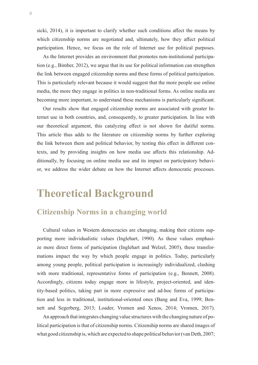sicki, 2014), it is important to clarify whether such conditions affect the means by which citizenship norms are negotiated and, ultimately, how they affect political participation. Hence, we focus on the role of Internet use for political purposes.

As the Internet provides an environment that promotes non-institutional participation (e.g., Bimber, 2012), we argue that its use for political information can strengthen the link between engaged citizenship norms and these forms of political participation. This is particularly relevant because it would suggest that the more people use online media, the more they engage in politics in non-traditional forms. As online media are becoming more important, to understand these mechanisms is particularly significant.

Our results show that engaged citizenship norms are associated with greater Internet use in both countries, and, consequently, to greater participation. In line with our theoretical argument, this catalyzing effect is not shown for dutiful norms. This article thus adds to the literature on citizenship norms by further exploring the link between them and political behavior, by testing this effect in different contexts, and by providing insights on how media use affects this relationship. Additionally, by focusing on online media use and its impact on participatory behavior, we address the wider debate on how the Internet affects democratic processes.

### **Theoretical Background**

### **Citizenship Norms in a changing world**

Cultural values in Western democracies are changing, making their citizens supporting more individualistic values (Inglehart, 1990). As these values emphasize more direct forms of participation (Inglehart and Welzel, 2005), these transformations impact the way by which people engage in politics. Today, particularly among young people, political participation is increasingly individualized, clashing with more traditional, representative forms of participation (e.g., Bennett, 2008). Accordingly, citizens today engage more in lifestyle, project-oriented, and identity-based politics, taking part in more expressive and ad-hoc forms of participation and less in traditional, institutional-oriented ones (Bang and Eva, 1999; Bennett and Segerberg, 2013; Loader, Vromen and Xenos, 2014; Vromen, 2017).

An approach that integrates changing value structures with the changing nature of political participation is that of citizenship norms. Citizenship norms are shared images of what good citizenship is, which are expected to shape political behavior (van Deth, 2007;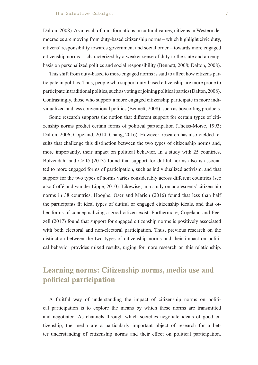Dalton, 2008). As a result of transformations in cultural values, citizens in Western democracies are moving from duty-based citizenship norms – which highlight civic duty, citizens' responsibility towards government and social order – towards more engaged citizenship norms – characterized by a weaker sense of duty to the state and an emphasis on personalized politics and social responsibility (Bennett, 2008; Dalton, 2008).

This shift from duty-based to more engaged norms is said to affect how citizens participate in politics. Thus, people who support duty-based citizenship are more prone to participate in traditional politics, such as voting or joining political parties (Dalton, 2008). Contrastingly, those who support a more engaged citizenship participate in more individualized and less conventional politics (Bennett, 2008), such as boycotting products.

Some research supports the notion that different support for certain types of citizenship norms predict certain forms of political participation (Theiss-Morse, 1993; Dalton, 2006; Copeland, 2014; Chang, 2016). However, research has also yielded results that challenge this distinction between the two types of citizenship norms and, more importantly, their impact on political behavior. In a study with 25 countries, Bolzendahl and Coffé (2013) found that support for dutiful norms also is associated to more engaged forms of participation, such as individualized activism, and that support for the two types of norms varies considerably across different countries (see also Coffé and van der Lippe, 2010). Likewise, in a study on adolescents' citizenship norms in 38 countries, Hooghe, Oser and Marien (2016) found that less than half the participants fit ideal types of dutiful or engaged citizenship ideals, and that other forms of conceptualizing a good citizen exist. Furthermore, Copeland and Feezell (2017) found that support for engaged citizenship norms is positively associated with both electoral and non-electoral participation. Thus, previous research on the distinction between the two types of citizenship norms and their impact on political behavior provides mixed results, urging for more research on this relationship.

### **Learning norms: Citizenship norms, media use and political participation**

A fruitful way of understanding the impact of citizenship norms on political participation is to explore the means by which these norms are transmitted and negotiated. As channels through which societies negotiate ideals of good citizenship, the media are a particularly important object of research for a better understanding of citizenship norms and their effect on political participation.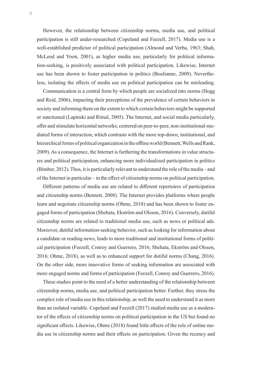However, the relationship between citizenship norms, media use, and political participation is still under-researched (Copeland and Feezell, 2017). Media use is a well-established predictor of political participation (Almond and Verba, 1963; Shah, McLeod and Yoon, 2001), as higher media use, particularly for political information-seeking, is positively associated with political participation. Likewise, Internet use has been shown to foster participation in politics (Boulianne, 2009). Nevertheless, isolating the effects of media use on political participation can be misleading.

Communication is a central form by which people are socialized into norms (Hogg and Reid, 2006), impacting their perceptions of the prevalence of certain behaviors in society and informing them on the extent to which certain behaviors might be supported or sanctioned (Lapinski and Rimal, 2005). The Internet, and social media particularly, offer and stimulate horizontal networks; centered on peer-to-peer, non-institutional-mediated forms of interaction, which contrasts with the more top-down, institutional, and hierarchical forms of political organization in the offline world (Bennett, Wells and Rank, 2009). As a consequence, the Internet is furthering the transformations in value structures and political participation, enhancing more individualized participation in politics (Bimber, 2012). Thus, it is particularly relevant to understand the role of the media – and of the Internet in particular – in the effect of citizenship norms on political participation.

Different patterns of media use are related to different repertoires of participation and citizenship norms (Bennett, 2008). The Internet provides platforms where people learn and negotiate citizenship norms (Ohme, 2018) and has been shown to foster engaged forms of participation (Shehata, Ekström and Olsson, 2016). Conversely, dutiful citizenship norms are related to traditional media use, such as news or political ads. Moreover, dutiful information-seeking behavior, such as looking for information about a candidate or reading news, leads to more traditional and institutional forms of political participation (Feezell, Conroy and Guerrero, 2016; Shehata, Ekström and Olsson, 2016; Ohme, 2018), as well as to enhanced support for dutiful norms (Chang, 2016). On the other side, more innovative forms of seeking information are associated with more engaged norms and forms of participation (Feezell, Conroy and Guerrero, 2016).

These studies point to the need of a better understanding of the relationship between citizenship norms, media use, and political participation better. Further, they stress the complex role of media use in this relationship, as well the need to understand it as more than an isolated variable. Copeland and Feezell (2017) studied media use as a moderator of the effects of citizenship norms on political participation in the US but found no significant effects. Likewise, Ohme (2018) found little effects of the role of online media use in citizenship norms and their effects on participation. Given the recency and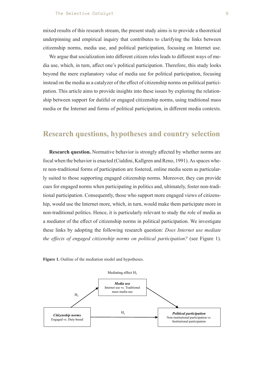mixed results of this research stream, the present study aims is to provide a theoretical underpinning and empirical inquiry that contributes to clarifying the links between citizenship norms, media use, and political participation, focusing on Internet use.

We argue that socialization into different citizen roles leads to different ways of media use, which, in turn, affect one's political participation. Therefore, this study looks beyond the mere explanatory value of media use for political participation, focusing instead on the media as a catalyzer of the effect of citizenship norms on political participation. This article aims to provide insights into these issues by exploring the relationship between support for dutiful or engaged citizenship norms, using traditional mass media or the Internet and forms of political participation, in different media contexts.

#### **Research questions, hypotheses and country selection**

**Research question.** Normative behavior is strongly affected by whether norms are focal when the behavior is enacted (Cialdini, Kallgren and Reno, 1991). As spaces where non-traditional forms of participation are fostered, online media seem as particularly suited to those supporting engaged citizenship norms. Moreover, they can provide cues for engaged norms when participating in politics and, ultimately, foster non-traditional participation. Consequently, those who support more engaged views of citizenship, would use the Internet more, which, in turn, would make them participate more in non-traditional politics. Hence, it is particularly relevant to study the role of media as a mediator of the effect of citizenship norms in political participation. We investigate these links by adopting the following research question: *Does Internet use mediate the effects of engaged citizenship norms on political participation?* (see Figure 1).



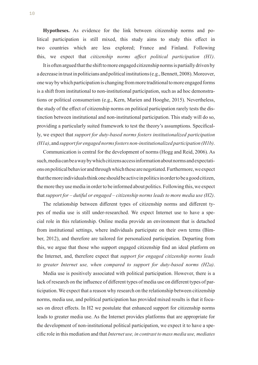**Hypotheses.** As evidence for the link between citizenship norms and political participation is still mixed, this study aims to study this effect in two countries which are less explored; France and Finland. Following this, we expect that *citizenship norms affect political participation (H1)*.

It is often argued that the shift to more engaged citizenship norms is partially driven by a decrease in trust in politicians and political institutions (e.g., Bennett, 2008). Moreover, one way by which participation is changing from more traditional to more engaged forms is a shift from institutional to non-institutional participation, such as ad hoc demonstrations or political consumerism (e.g., Kern, Marien and Hooghe, 2015). Nevertheless, the study of the effect of citizenship norms on political participation rarely tests the distinction between institutional and non-institutional participation. This study will do so, providing a particularly suited framework to test the theory's assumptions. Specifically, we expect that *support for duty-based norms fosters institutionalized participation (H1a)*, and *support for engaged norms fosters non-institutionalized participation (H1b)*.

Communication is central for the development of norms (Hogg and Reid, 2006). As such, media can be a way by which citizens access information about norms and expectations on political behavior and through which these are negotiated. Furthermore, we expect that the more individuals think one should be active in politics in order to be a good citizen, the more they use media in order to be informed about politics. Following this, we expect that *support for – dutiful or engaged – citizenship norms leads to more media use (H2)*.

The relationship between different types of citizenship norms and different types of media use is still under-researched. We expect Internet use to have a special role in this relationship. Online media provide an environment that is detached from institutional settings, where individuals participate on their own terms (Bimber, 2012), and therefore are tailored for personalized participation. Departing from this, we argue that those who support engaged citizenship find an ideal platform on the Internet, and, therefore expect that *support for engaged citizenship norms leads to greater Internet use, when compared to support for duty-based norms (H2a)*.

Media use is positively associated with political participation. However, there is a lack of research on the influence of different types of media use on different types of participation. We expect that a reason why research on the relationship between citizenship norms, media use, and political participation has provided mixed results is that it focuses on direct effects. In H2 we postulate that enhanced support for citizenship norms leads to greater media use. As the Internet provides platforms that are appropriate for the development of non-institutional political participation, we expect it to have a specific role in this mediation and that *Internet use, in contrast to mass media use, mediates*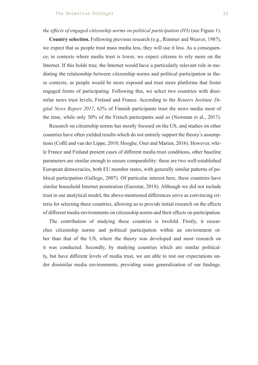#### *the effects of engaged citizenship norms on political participation (H3)* (see Figure 1).

**Country selection.** Following previous research (e.g., Rimmer and Weaver, 1987), we expect that as people trust mass media less, they will use it less. As a consequence, in contexts where media trust is lower, we expect citizens to rely more on the Internet. If this holds true, the Internet would have a particularly relevant role in mediating the relationship between citizenship norms and political participation in these contexts, as people would be more exposed and trust more platforms that foster engaged forms of participating. Following this, we select two countries with dissimilar news trust levels, Finland and France. According to the *Reuters Institute Digital News Report 2017*, 62% of Finnish participants trust the news media most of the time, while only 30% of the French participants said so (Newman et al., 2017).

Research on citizenship norms has mostly focused on the US, and studies on other countries have often yielded results which do not entirely support the theory's assumptions (Coffé and van der Lippe, 2010; Hooghe, Oser and Marien, 2016). However, while France and Finland present cases of different media trust conditions, other baseline parameters are similar enough to ensure comparability: these are two well-established European democracies, both EU member states, with generally similar patterns of political participation (Gallego, 2007). Of particular interest here, these countries have similar household Internet penetration (Eurostat, 2018). Although we did not include trust in our analytical model, the above-mentioned differences serve as convincing criteria for selecting these countries, allowing us to provide initial research on the effects of different media environments on citizenship norms and their effects on participation.

The contribution of studying these countries is twofold. Firstly, it researches citizenship norms and political participation within an environment other than that of the US, where the theory was developed and most research on it was conducted. Secondly, by studying countries which are similar politically, but have different levels of media trust, we are able to test our expectations under dissimilar media environments, providing some generalization of our findings.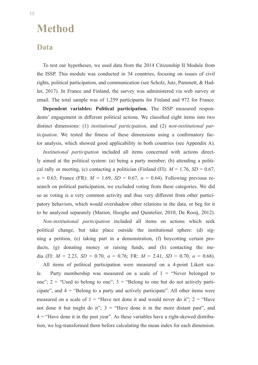### **Method**

#### **Data**

To test our hypotheses, we used data from the 2014 Citizenship II Module from the ISSP. This module was conducted in 34 countries, focusing on issues of civil rights, political participation, and communication (see Scholz, Jutz, Pammett, & Hadler, 2017). In France and Finland, the survey was administered via web survey or email. The total sample was of 1,259 participants for Finland and 972 for France.

**Dependent variables: Political participation.** The ISSP measured respondents' engagement in different political actions. We classified eight items into two distinct dimensions: (1) *institutional participation*, and (2) *non-institutional participation*. We tested the fitness of these dimensions using a confirmatory factor analysis, which showed good applicability in both countries (see Appendix A).

*Institutional participation* included all items concerned with actions directly aimed at the political system: (a) being a party member; (b) attending a political rally or meeting, (c) contacting a politician (Finland (FI):  $M = 1.76$ ,  $SD = 0.67$ , *α* = 0.63; France (FR): *M* = 1.69, *SD* = 0.67, *α* = 0.64). Following previous research on political participation, we excluded voting from these categories. We did so as voting is a very common activity and thus very different from other participatory behaviors, which would overshadow other relations in the data, or beg for it to be analyzed separately (Marien, Hooghe and Quintelier, 2010; De Rooij, 2012).

*Non-institutional participation* included all items on actions which seek political change, but take place outside the institutional sphere: (d) signing a petition, (e) taking part in a demonstration, (f) boycotting certain products, (g) donating money or raising funds, and (h) contacting the media (FI:  $M = 2.23$ ,  $SD = 0.70$ ,  $\alpha = 0.76$ ; FR:  $M = 2.41$ ,  $SD = 0.70$ ,  $\alpha = 0.68$ ).

All items of political participation were measured on a 4-point Likert scale. Party membership was measured on a scale of  $1 =$  "Never belonged to one";  $2 =$  "Used to belong to one";  $3 =$  "Belong to one but do not actively participate", and  $4 =$  "Belong to a party and actively participate". All other items were measured on a scale of  $1 =$  "Have not done it and would never do it";  $2 =$  "Have not done it but might do it";  $3 =$  "Have done it in the more distant past", and  $4 =$  "Have done it in the past year". As these variables have a right-skewed distribution, we log-transformed them before calculating the mean index for each dimension.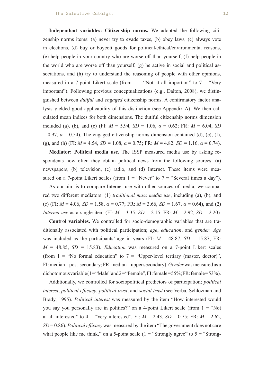**Independent variables: Citizenship norms.** We adopted the following citizenship norms items: (a) never try to evade taxes, (b) obey laws, (c) always vote in elections, (d) buy or boycott goods for political/ethical/environmental reasons, (e) help people in your country who are worse off than yourself, (f) help people in the world who are worse off than yourself, (g) be active in social and political associations, and (h) try to understand the reasoning of people with other opinions, measured in a 7-point Likert scale (from  $1 =$  "Not at all important" to  $7 =$  "Very important"). Following previous conceptualizations (e.g., Dalton, 2008), we distinguished between *dutiful* and *engaged* citizenship norms. A confirmatory factor analysis yielded good applicability of this distinction (see Appendix A). We then calculated mean indices for both dimensions. The dutiful citizenship norms dimension included (a), (b), and (c) (FI:  $M = 5.94$ ,  $SD = 1.06$ ,  $\alpha = 0.62$ ; FR:  $M = 6.04$ , *SD*  $= 0.97$ ,  $\alpha = 0.54$ ). The engaged citizenship norms dimension contained (d), (e), (f), (g), and (h) (FI:  $M = 4.54$ ,  $SD = 1.08$ ,  $\alpha = 0.75$ ; FR:  $M = 4.82$ ,  $SD = 1.16$ ,  $\alpha = 0.74$ ).

**Mediator: Political media use.** The ISSP measured media use by asking respondents how often they obtain political news from the following sources: (a) newspapers, (b) television, (c) radio, and (d) Internet. These items were measured on a 7-point Likert scales (from  $1 =$  "Never" to  $7 =$  "Several times a day").

As our aim is to compare Internet use with other sources of media, we compared two different mediators: (1) *traditional mass media use*, including (a), (b), and (c) (FI:  $M = 4.06$ ,  $SD = 1.58$ ,  $\alpha = 0.77$ ; FR:  $M = 3.66$ ,  $SD = 1.67$ ,  $\alpha = 0.64$ ), and (2) *Internet use* as a single item (FI: *M* = 3.35, *SD* = 2.15; FR: *M* = 2.92, *SD* = 2.20).

**Control variables.** We controlled for socio-demographic variables that are traditionally associated with political participation; *age*, *education*, and *gender*. *Age* was included as the participants' age in years (FI:  $M = 48.87$ ,  $SD = 15.87$ ; FR:  $M = 48.85$ ,  $SD = 15.83$ ). *Education* was measured on a 7-point Likert scales (from  $1 =$  "No formal education" to  $7 =$  "Upper-level tertiary (master, doctor)", FI: median = post-secondary; FR: median = upper secondary). *Gender* was measured as a dichotomous variable  $(1 = "Male" and 2 = "Female", FI: female = 55%; FR: female = 53%).$ 

Additionally, we controlled for sociopolitical predictors of participation; *political interest*, *political efficacy*, *political trust*, and *social trust* (see Verba, Schlozman and Brady, 1995). *Political interest* was measured by the item "How interested would you say you personally are in politics?" on a 4-point Likert scale (from  $1 = "Not"$ at all interested" to  $4 =$  "Very interested", FI:  $M = 2.43$ ,  $SD = 0.75$ ; FR:  $M = 2.62$ , *SD* = 0.86). *Political efficacy* was measured by the item "The government does not care what people like me think," on a 5-point scale  $(1 -$ "Strongly agree" to  $5 -$  "Strong-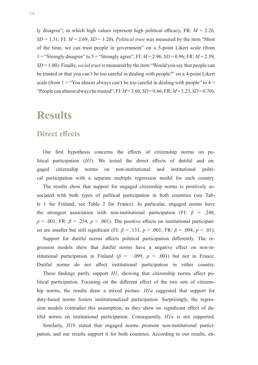ly disagree"; in which high values represent high political efficacy, FR: *M* = 2.26,  $SD = 1.31$ ; FI:  $M = 2.69$ ,  $SD = 1.20$ ). *Political trust* was measured by the item "Most of the time, we can trust people in government" on a 5-point Likert scale (from 1 = "Strongly disagree" to 5 = "Strongly agree", FI: *M* = 2.96, *SD* = 0.96; FR: *M* = 2.39, *SD* = 1.00). Finally, *social trust* is measured by the item "Would you say that people can be trusted or that you can't be too careful in dealing with people?" on a 4-point Likert scale (from  $1 =$  "You almost always can't be too careful in dealing with people" to  $4 =$ "People can almost always be trusted", FI: *M* = 3.60, *SD* = 0.66; FR: *M* = 3.23, *SD* = 0.70).

### **Results**

#### **Direct effects**

Our first hypothesis concerns the effects of citizenship norms on political participation (*H1*). We tested the direct effects of dutiful and engaged citizenship norms on non-institutional and institutional political participation with a separate multiple regression model for each country.

The results show that support for engaged citizenship norms is positively associated with both types of political participation in both countries (see Table 1 for Finland; see Table 2 for France). In particular, engaged norms have the strongest association with non-institutional participation (FI:  $\beta$  = .248,  $p < .001$ ; FR:  $\beta = .254$ ,  $p < .001$ ). The positive effects on institutional participation are smaller but still significant (FI: *β* = .133, *p* < .001; FR: *β* = .094, *p* < .01).

Support for dutiful norms affects political participation differently. The regression models show that dutiful norms have a negative effect on non-institutional participation in Finland ( $\beta$  = -.099,  $p$  < .001) but not in France. Dutiful norms do not affect institutional participation in either country.

These findings partly support *H1*, showing that citizenship norms affect political participation. Focusing on the different effect of the two sets of citizenship norms, the results draw a mixed picture. *H1a* suggested that support for duty-based norms fosters institutionalized participation. Surprisingly, the regression models contradict this assumption, as they show no significant effect of dutiful norms on institutional participation. Consequently, *H1a* is not supported.

Similarly, *H1b* stated that engaged norms promote non-institutional participation, and our results support it for both countries. According to our results, en-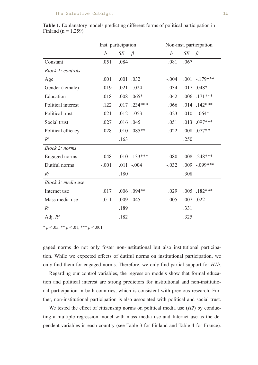|                    | Inst. participation |      |           | Non-inst. participation |      |                  |
|--------------------|---------------------|------|-----------|-------------------------|------|------------------|
|                    | $\boldsymbol{b}$    | SE   | $\beta$   | $\boldsymbol{b}$        | SE   | $\beta$          |
| Constant           | .051                | .084 |           | .081                    | .067 |                  |
| Block 1: controls  |                     |      |           |                         |      |                  |
| Age                | .001                |      | .001 .032 | $-.004$                 |      | $.001 - .179***$ |
| Gender (female)    | $-.019$             | .021 | $-.024$   | .034                    | .017 | $.048*$          |
| Education          | .018                | .008 | $.065*$   | .042                    | .006 | $.171***$        |
| Political interest | .122                | .017 | $.234***$ | .066                    | .014 | $.142***$        |
| Political trust    | $-.021$             | .012 | $-.053$   | $-.023$                 | .010 | $-.064*$         |
| Social trust       | .027                | .016 | .045      | .051                    | .013 | .097***          |
| Political efficacy | .028                | .010 | $.085**$  | .022                    | .008 | $.077**$         |
| $R^2$              |                     | .163 |           |                         | .250 |                  |
| Block 2: norms     |                     |      |           |                         |      |                  |
| Engaged norms      | .048                | .010 | $.133***$ | .080                    | .008 | $.248***$        |
| Dutiful norms      | $-.001$             | .011 | $-.004$   | $-.032$                 | .009 | $-.099***$       |
| $R^2$              |                     | .180 |           |                         | .308 |                  |
| Block 3: media use |                     |      |           |                         |      |                  |
| Internet use       | .017                | .006 | $.094**$  | .029                    | .005 | $.182***$        |
| Mass media use     | .011                | .009 | .045      | .005                    | .007 | .022             |
| $R^2$              |                     | .189 |           |                         | .331 |                  |
| Adj. $R^2$         |                     | .182 |           |                         | .325 |                  |

**Table 1.** Explanatory models predicting different forms of political participation in Finland ( $n = 1,259$ ).

 $* p < .05; ** p < .01; *** p < .001.$ 

gaged norms do not only foster non-institutional but also institutional participation. While we expected effects of dutiful norms on institutional participation, we only find them for engaged norms. Therefore, we only find partial support for *H1b*.

Regarding our control variables, the regression models show that formal education and political interest are strong predictors for institutional and non-institutional participation in both countries, which is consistent with previous research. Further, non-institutional participation is also associated with political and social trust.

We tested the effect of citizenship norms on political media use (*H2*) by conducting a multiple regression model with mass media use and Internet use as the dependent variables in each country (see Table 3 for Finland and Table 4 for France).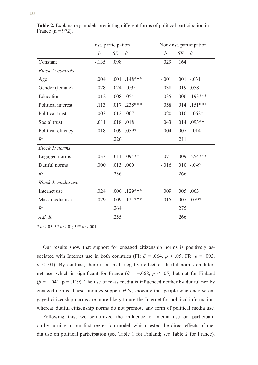|                    | Inst. participation |      |               | Non-inst. participation |           |               |
|--------------------|---------------------|------|---------------|-------------------------|-----------|---------------|
|                    | $\boldsymbol{b}$    | SE   | $\beta$       | $\boldsymbol{b}$        | <b>SE</b> | $\beta$       |
| Constant           | $-.135$             | .098 |               | .029                    | .164      |               |
| Block 1: controls  |                     |      |               |                         |           |               |
| Age                | .004                | .001 | $.148***$     | $-.001$                 |           | $.001 - .031$ |
| Gender (female)    | $-.028$             |      | $.024 - .035$ | .038                    | .019      | .058          |
| Education          | .012                | .008 | .054          | .035                    | .006      | $.193***$     |
| Political interest | .113                | .017 | $.238***$     | .058                    | .014      | $.151***$     |
| Political trust    | .003                | .012 | .007          | $-.020$                 | .010      | $-.062*$      |
| Social trust       | .011                | .018 | .018          | .043                    | .014      | $.093**$      |
| Political efficacy | .018                | .009 | $.059*$       | $-.004$                 |           | $.007 - .014$ |
| $R^2$              |                     | .226 |               |                         | .211      |               |
| Block 2: norms     |                     |      |               |                         |           |               |
| Engaged norms      | .033                | .011 | $.094**$      | .071                    | .009      | $.254***$     |
| Dutiful norms      | .000                | .013 | .000          | $-.016$                 | .010      | $-.049$       |
| $R^2$              |                     | .236 |               |                         | .266      |               |
| Block 3: media use |                     |      |               |                         |           |               |
| Internet use       | .024                | .006 | $.129***$     | .009                    | .005      | .063          |
| Mass media use     | .029                | .009 | $.121***$     | .015                    | .007      | $.079*$       |
| $R^2$              |                     | .264 |               |                         | .275      |               |
| Adj. $R^2$         |                     | .255 |               |                         | .266      |               |

**Table 2.** Explanatory models predicting different forms of political participation in France  $(n = 972)$ .

 $* p < .05; ** p < .01; *** p < .001.$ 

Our results show that support for engaged citizenship norms is positively associated with Internet use in both countries (FI:  $\beta$  = .064,  $p < .05$ ; FR:  $\beta$  = .093,  $p < .01$ ). By contrast, there is a small negative effect of dutiful norms on Internet use, which is significant for France ( $\beta$  = -.068,  $p$  < .05) but not for Finland  $(\beta = -.041, p = .119)$ . The use of mass media is influenced neither by dutiful nor by engaged norms. These findings support *H2a*, showing that people who endorse engaged citizenship norms are more likely to use the Internet for political information, whereas dutiful citizenship norms do not promote any form of political media use.

Following this, we scrutinized the influence of media use on participation by turning to our first regression model, which tested the direct effects of media use on political participation (see Table 1 for Finland; see Table 2 for France).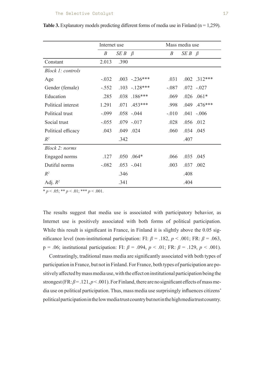|                          | Internet use |                    |                  | Mass media use   |              |                  |
|--------------------------|--------------|--------------------|------------------|------------------|--------------|------------------|
|                          | B            | $SE B \quad \beta$ |                  | $\boldsymbol{B}$ | $SE B \beta$ |                  |
| Constant                 | 2.013        | .390               |                  |                  |              |                  |
| <b>Block 1: controls</b> |              |                    |                  |                  |              |                  |
| Age                      | $-.032$      |                    | $.003 - .236***$ | .031             |              | $.002$ $.312***$ |
| Gender (female)          | $-.552$      |                    | $.103 - 128***$  | $-.087$          |              | $.072 - .027$    |
| Education                | .285         |                    | $.038$ $.186***$ | .069             |              | $.026$ $.061*$   |
| Political interest       | 1.291        |                    | $.071$ $.453***$ | .998             |              | .049 .476***     |
| Political trust          | $-.099$      |                    | $.058-.044$      | $-.010$          |              | $.041 - .006$    |
| Social trust             | $-.055$      |                    | $.079 - .017$    | .028             |              | .056 .012        |
| Political efficacy       | .043         |                    | .049 .024        | .060             |              | .034 .045        |
| $R^2$                    |              | .342               |                  |                  | .407         |                  |
| Block 2: norms           |              |                    |                  |                  |              |                  |
| Engaged norms            | .127         |                    | $.050$ $.064*$   | .066             |              | .035 .045        |
| Dutiful norms            | $-.082$      |                    | $.053 - .041$    | .003             |              | .037 .002        |
| $R^2$                    |              | .346               |                  |                  | .408         |                  |
| Adj. $R^2$               |              | .341               |                  |                  | .404         |                  |

**Table 3.** Explanatory models predicting different forms of media use in Finland ( $n = 1,259$ ).

 $* p < .05; ** p < .01; *** p < .001.$ 

The results suggest that media use is associated with participatory behavior, as Internet use is positively associated with both forms of political participation. While this result is significant in France, in Finland it is slightly above the 0.05 significance level (non-institutional participation: FI:  $\beta$  = .182,  $p$  < .001; FR:  $\beta$  = .063, p = .06; institutional participation: FI: *β* = .094, *p* < .01; FR: *β* = .129, *p* < .001).

Contrastingly, traditional mass media are significantly associated with both types of participation in France, but not in Finland. For France, both types of participation are positively affected by mass media use, with the effect on institutional participation being the strongest (FR:  $\beta$  = .121,  $p$  < .001). For Finland, there are no significant effects of mass media use on political participation. Thus, mass media use surprisingly influences citizens' political participation in the low media trust country but not in the high media trust country.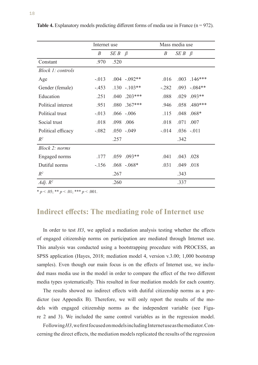|                    | Internet use     |                    |                  | Mass media use   |                    |             |
|--------------------|------------------|--------------------|------------------|------------------|--------------------|-------------|
|                    | $\boldsymbol{B}$ | $SE B \quad \beta$ |                  | $\boldsymbol{B}$ | $SE B \quad \beta$ |             |
| Constant           | .970             | .520               |                  |                  |                    |             |
| Block 1: controls  |                  |                    |                  |                  |                    |             |
| Age                | $-.013$          |                    | $.004$ $-.092**$ | .016             | .003               | $.146***$   |
| Gender (female)    | $-.453$          |                    | $.130 - .103**$  | $-.282$          | .093               | $-.084**$   |
| Education          | .251             | .040               | $.203***$        | .088             | .029               | $.093**$    |
| Political interest | .951             |                    | .080 .367***     | .946             | .058               | $.480***$   |
| Political trust    | $-.013$          |                    | $.066-.006$      | .115             | .048               | $.068*$     |
| Social trust       | .018             |                    | .098 .006        | .018             | .071               | .007        |
| Political efficacy | $-.082$          |                    | $.050-.049$      | $-.014$          |                    | $.036-.011$ |
| $R^2$              |                  | .257               |                  |                  | .342               |             |
| Block 2: norms     |                  |                    |                  |                  |                    |             |
| Engaged norms      | .177             | .059               | $.093**$         | .041             |                    | .043 .028   |
| Dutiful norms      | $-156$           |                    | $.068-.068*$     | .031             | .049               | .018        |
| $R^2$              |                  | .267               |                  |                  | .343               |             |
| Adj. $R^2$         |                  | .260               |                  |                  | .337               |             |

**Table 4.** Explanatory models predicting different forms of media use in France (n = 972).

 $* p < .05; ** p < .01; ** p < .001.$ 

### **Indirect effects: The mediating role of Internet use**

In order to test *H3*, we applied a mediation analysis testing whether the effects of engaged citizenship norms on participation are mediated through Internet use. This analysis was conducted using a bootstrapping procedure with PROCESS, an SPSS application (Hayes, 2018; mediation model 4, version v.3.00; 1,000 bootstrap samples). Even though our main focus is on the effects of Internet use, we included mass media use in the model in order to compare the effect of the two different media types systematically. This resulted in four mediation models for each country.

The results showed no indirect effects with dutiful citizenship norms as a predictor (see Appendix B). Therefore, we will only report the results of the models with engaged citizenship norms as the independent variable (see Figure 2 and 3). We included the same control variables as in the regression model.

Following *H3*, we first focused on models including Internet use as the mediator. Concerning the direct effects, the mediation models replicated the results of the regression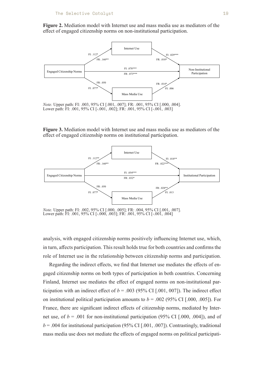**Figure 2.** Mediation model with Internet use and mass media use as mediators of the effect of engaged citizenship norms on non-institutional participation.



**Figure 3.** Mediation model with Internet use and mass media use as mediators of the effect of engaged citizenship norms on institutional participation.



ower path: *Note.* Upper path: FI: .002, 95% CI [.000, .005]; FR: .004, 95% CI [.001, .007].<br>Lower path: FI: .001, 95% CI [-.000, .003]; FR: .001, 95% CI [-.001, .004]

analysis, with engaged citizenship norms positively influencing Internet use, which, in turn, affects participation. This result holds true for both countries and confirms the role of Internet use in the relationship between citizenship norms and participation.

Regarding the indirect effects, we find that Internet use mediates the effects of engaged citizenship norms on both types of participation in both countries. Concerning Finland, Internet use mediates the effect of engaged norms on non-institutional participation with an indirect effect of  $b = .003$  (95% CI [.001, 007]). The indirect effect on institutional political participation amounts to  $b = .002$  (95% CI [.000, .005]). For France, there are significant indirect effects of citizenship norms, mediated by Internet use, of  $b = .001$  for non-institutional participation (95% CI [.000, .004]), and of  $b = .004$  for institutional participation (95% CI [.001, .007]). Contrastingly, traditional mass media use does not mediate the effects of engaged norms on political participati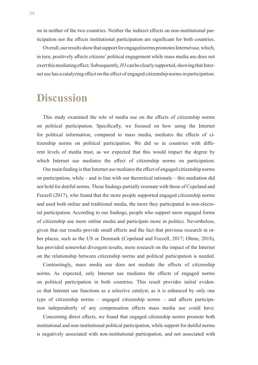on in neither of the two countries. Neither the indirect effects on non-institutional participation nor the effects institutional participation are significant for both countries.

Overall, our results show that support for engaged norms promotes Internet use, which, in turn, positively affects citizens' political engagement while mass media use does not exert this mediating effect. Subsequently, *H3* can be clearly supported, showing that Internet use has a catalyzing effect on the effect of engaged citizenship norms in participation.

### **Discussion**

This study examined the role of media use on the effects of citizenship norms on political participation. Specifically, we focused on how using the Internet for political information, compared to mass media, mediates the effects of citizenship norms on political participation. We did so in countries with different levels of media trust, as we expected that this would impact the degree by which Internet use mediates the effect of citizenship norms on participation.

Our main finding is that Internet use mediates the effect of engaged citizenship norms on participation, while – and in line with our theoretical rationale – this mediation did not hold for dutiful norms. These findings partially resonate with those of Copeland and Feezell (2017), who found that the more people supported engaged citizenship norms and used both online and traditional media, the more they participated in non-electoral participation. According to our findings, people who support more engaged forms of citizenship use more online media and participate more in politics. Nevertheless, given that our results provide small effects and the fact that previous research in other places, such as the US or Denmark (Copeland and Feezell, 2017; Ohme, 2018), has provided somewhat divergent results, more research on the impact of the Internet on the relationship between citizenship norms and political participation is needed.

Contrastingly, mass media use does not mediate the effects of citizenship norms. As expected, only Internet use mediates the effects of engaged norms on political participation in both countries. This result provides initial evidence that Internet use functions as a selective catalyst, as it is enhanced by only one type of citizenship norms – engaged citizenship norms – and affects participation independently of any compensation effects mass media use could have.

Concerning direct effects, we found that engaged citizenship norms promote both institutional and non-institutional political participation, while support for dutiful norms is negatively associated with non-institutional participation, and not associated with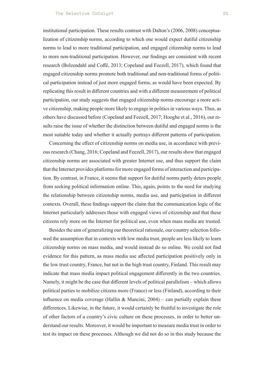institutional participation. These results contrast with Dalton's (2006, 2008) conceptualization of citizenship norms, according to which one would expect dutiful citizenship norms to lead to more traditional participation, and engaged citizenship norms to lead to more non-traditional participation. However, our findings are consistent with recent research (Bolzendahl and Coffé, 2013; Copeland and Feezell, 2017), which found that engaged citizenship norms promote both traditional and non-traditional forms of political participation instead of just more engaged forms, as would have been expected. By replicating this result in different countries and with a different measurement of political participation, our study suggests that engaged citizenship norms encourage a more active citizenship, making people more likely to engage in politics in various ways. Thus, as others have discussed before (Copeland and Feezell, 2017; Hooghe et al., 2016), our results raise the issue of whether the distinction between dutiful and engaged norms is the most suitable today and whether it actually portrays different patterns of participation.

Concerning the effect of citizenship norms on media use, in accordance with previous research (Chang, 2016; Copeland and Feezell, 2017), our results show that engaged citizenship norms are associated with greater Internet use, and thus support the claim that the Internet provides platforms for more engaged forms of interaction and participation. By contrast, in France, it seems that support for dutiful norms partly deters people from seeking political information online. This, again, points to the need for studying the relationship between citizenship norms, media use, and participation in different contexts. Overall, these findings support the claim that the communication logic of the Internet particularly addresses those with engaged views of citizenship and that these citizens rely more on the Internet for political use, even when mass media are trusted.

Besides the aim of generalizing our theoretical rationale, our country selection followed the assumption that in contexts with low media trust, people are less likely to learn citizenship norms on mass media, and would instead do so online. We could not find evidence for this pattern, as mass media use affected participation positively only in the low trust country, France, but not in the high trust country, Finland. This result may indicate that mass media impact political engagement differently in the two countries. Namely, it might be the case that different levels of political parallelism – which allows political parties to mobilize citizens more (France) or less (Finland), according to their influence on media coverage (Hallin & Mancini,  $2004$ ) – can partially explain these differences. Likewise, in the future, it would certainly be fruitful to investigate the role of other factors of a country's civic culture on these processes, in order to better understand our results. Moreover, it would be important to measure media trust in order to test its impact on these processes. Although we did not do so in this study because the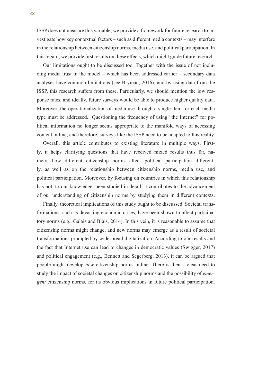ISSP does not measure this variable, we provide a framework for future research to investigate how key contextual factors – such as different media contexts – may interfere in the relationship between citizenship norms, media use, and political participation. In this regard, we provide first results on these effects, which might guide future research.

Our limitations ought to be discussed too. Together with the issue of not including media trust in the model – which has been addressed earlier – secondary data analyses have common limitations (see Bryman, 2016), and by using data from the ISSP, this research suffers from these. Particularly, we should mention the low response rates, and ideally, future surveys would be able to produce higher quality data. Moreover, the operationalization of media use through a single item for each media type must be addressed. Questioning the frequency of using "the Internet" for political information no longer seems appropriate to the manifold ways of accessing content online, and therefore, surveys like the ISSP need to be adapted to this reality.

Overall, this article contributes to existing literature in multiple ways. Firstly, it helps clarifying questions that have received mixed results thus far, namely, how different citizenship norms affect political participation differently, as well as on the relationship between citizenship norms, media use, and political participation. Moreover, by focusing on countries in which this relationship has not, to our knowledge, been studied in detail, it contributes to the advancement of our understanding of citizenship norms by studying them in different contexts.

Finally, theoretical implications of this study ought to be discussed. Societal transformations, such as devasting economic crises, have been shown to affect participatory norms (e.g., Galais and Blais, 2014). In this vein, it is reasonable to assume that citizenship norms might change, and new norms may emerge as a result of societal transformations prompted by widespread digitalization. According to our results and the fact that Internet use can lead to changes in democratic values (Swigger, 2017) and political engagement (e.g., Bennett and Segerberg, 2013), it can be argued that people might develop *new* citizenship norms online. There is then a clear need to study the impact of societal changes on citizenship norms and the possibility of *emergent* citizenship norms, for its obvious implications in future political participation.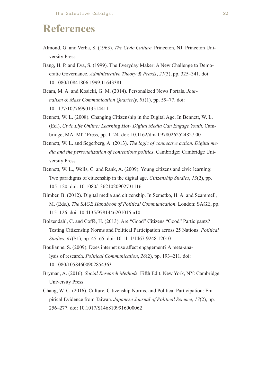## **References**

- Almond, G. and Verba, S. (1963). *The Civic Culture*. Princeton, NJ: Princeton University Press.
- Bang, H. P. and Eva, S. (1999). The Everyday Maker: A New Challenge to Democratic Governance. *Administrative Theory & Praxis*, *21*(3), pp. 325–341. doi: 10.1080/10841806.1999.11643381
- Beam, M. A. and Kosicki, G. M. (2014). Personalized News Portals. *Journalism & Mass Communication Quarterly*, *91*(1), pp. 59–77. doi: 10.1177/1077699013514411
- Bennett, W. L. (2008). Changing Citizenship in the Digital Age. In Bennett, W. L. (Ed.), *Civic Life Online: Learning How Digital Media Can Engage Youth*. Cambridge, MA: MIT Press, pp. 1–24. doi: 10.1162/dmal.9780262524827.001
- Bennett, W. L. and Segerberg, A. (2013). *The logic of connective action. Digital media and the personalization of contentious politics*. Cambridge: Cambridge University Press.
- Bennett, W. L., Wells, C. and Rank, A. (2009). Young citizens and civic learning: Two paradigms of citizenship in the digital age. *Citizenship Studies*, *13*(2), pp. 105–120. doi: 10.1080/13621020902731116
- Bimber, B. (2012). Digital media and citizenship. In Semetko, H. A. and Scammell, M. (Eds.), *The SAGE Handbook of Political Communication*. London: SAGE, pp. 115–126. doi: 10.4135/9781446201015.n10
- Bolzendahl, C. and Coffé, H. (2013). Are "Good" Citizens "Good" Participants? Testing Citizenship Norms and Political Participation across 25 Nations. *Political Studies*, *61*(S1), pp. 45–65. doi: 10.1111/1467-9248.12010
- Boulianne, S. (2009). Does internet use affect engagement? A meta-analysis of research. *Political Communication*, *26*(2), pp. 193–211. doi: 10.1080/10584600902854363
- Bryman, A. (2016). *Social Research Methods*. Fifth Edit. New York, NY: Cambridge University Press.
- Chang, W. C. (2016). Culture, Citizenship Norms, and Political Participation: Empirical Evidence from Taiwan. *Japanese Journal of Political Science*, *17*(2), pp. 256–277. doi: 10.1017/S1468109916000062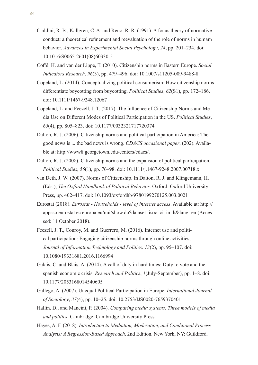- Cialdini, R. B., Kallgren, C. A. and Reno, R. R. (1991). A focus theory of normative conduct: a theoretical refinement and reevaluation of the role of norms in humam behavior. *Advances in Experimental Social Psychology*, *24*, pp. 201–234. doi: 10.1016/S0065-2601(08)60330-5
- Coffé, H. and van der Lippe, T. (2010). Citizenship norms in Eastern Europe. *Social Indicators Research*, *96*(3), pp. 479–496. doi: 10.1007/s11205-009-9488-8
- Copeland, L. (2014). Conceptualizing political consumerism: How citizenship norms differentiate boycotting from buycotting. *Political Studies*, *62*(S1), pp. 172–186. doi: 10.1111/1467-9248.12067
- Copeland, L. and Feezell, J. T. (2017). The Influence of Citizenship Norms and Media Use on Different Modes of Political Participation in the US. *Political Studies*, *65*(4), pp. 805–823. doi: 10.1177/0032321717720374
- Dalton, R. J. (2006). Citizenship norms and political participation in America: The good news is ... the bad news is wrong. *CDACS occasional paper*, (202). Available at: http://www8.georgetown.edu/centers/cdacs/.
- Dalton, R. J. (2008). Citizenship norms and the expansion of political participation. *Political Studies*, *56*(1), pp. 76–98. doi: 10.1111/j.1467-9248.2007.00718.x.
- van Deth, J. W. (2007). Norms of Citizenship. In Dalton, R. J. and Klingemann, H. (Eds.), *The Oxford Handbook of Political Behavior*. Oxford: Oxford University Press, pp. 402–417. doi: 10.1093/oxfordhb/9780199270125.003.0021
- Eurostat (2018). *Eurostat Households level of internet access*. Available at: http:// appsso.eurostat.ec.europa.eu/nui/show.do?dataset=isoc\_ci\_in\_h&lang=en (Accessed: 11 October 2018).
- Feezell, J. T., Conroy, M. and Guerrero, M. (2016). Internet use and political participation: Engaging citizenship norms through online activities, *Journal of Information Technology and Politics*. *13*(2), pp. 95–107. doi: 10.1080/19331681.2016.1166994
- Galais, C. and Blais, A. (2014). A call of duty in hard times: Duty to vote and the spanish economic crisis. *Research and Politics*, *1*(July-September), pp. 1–8. doi: 10.1177/2053168014540605
- Gallego, A. (2007). Unequal Political Participation in Europe. *International Journal of Sociology*, *37*(4), pp. 10–25. doi: 10.2753/IJS0020-7659370401
- Hallin, D., and Mancini, P. (2004). *Comparing media systems. Three models of media and politics*. Cambridge: Cambridge University Press.
- Hayes, A. F. (2018). *Introduction to Mediation, Moderation, and Conditional Process Analysis: A Regression-Based Approach*. 2nd Edition. New York, NY: Guildford.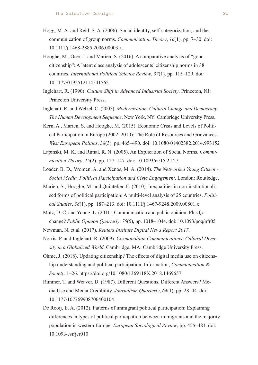- Hogg, M. A. and Reid, S. A. (2006). Social identity, self-categorization, and the communication of group norms. *Communication Theory*, *16*(1), pp. 7–30. doi: 10.1111/j.1468-2885.2006.00003.x.
- Hooghe, M., Oser, J. and Marien, S. (2016). A comparative analysis of "good citizenship": A latent class analysis of adolescents' citizenship norms in 38 countries. *International Political Science Review*, *37*(1), pp. 115–129. doi: 10.1177/0192512114541562
- Inglehart, R. (1990). *Culture Shift in Advanced Industrial Society*. Princeton, NJ: Princeton University Press.
- Inglehart, R. and Welzel, C. (2005). *Modernization, Cultural Change and Democracy: The Human Development Sequence*. New York, NY: Cambridge University Press.
- Kern, A., Marien, S. and Hooghe, M. (2015). Economic Crisis and Levels of Political Participation in Europe (2002–2010): The Role of Resources and Grievances. *West European Politics*, *38*(3), pp. 465–490. doi: 10.1080/01402382.2014.993152
- Lapinski, M. K. and Rimal, R. N. (2005). An Explication of Social Norms. *Communication Theory*, *15*(2), pp. 127–147. doi: 10.1093/ct/15.2.127
- Loader, B. D., Vromen, A. and Xenos, M. A. (2014). *The Networked Young Citizen Social Media, Political Participation and Civic Engagement*. London: Routledge.
- Marien, S., Hooghe, M. and Quintelier, E. (2010). Inequalities in non-institutionalised forms of political participation: A multi-level analysis of 25 countries. *Political Studies*, *58*(1), pp. 187–213. doi: 10.1111/j.1467-9248.2009.00801.x
- Mutz, D. C. and Young, L. (2011). Communication and public opinion: Plus Ça change? *Public Opinion Quarterly*, *75*(5), pp. 1018–1044. doi: 10.1093/poq/nfr05
- Newman, N. et al*.* (2017). *Reuters Institute Digital News Report 2017*.
- Norris, P. and Inglehart, R. (2009). *Cosmopolitan Communications: Cultural Diversity in a Globalized World*. Cambridge, MA: Cambridge University Press.
- Ohme, J. (2018). Updating citizenship? The effects of digital media use on citizenship understanding and political participation. Information, *Communication & Society,* 1–26. https://doi.org/10.1080/1369118X.2018.1469657
- Rimmer, T. and Weaver, D. (1987). Different Questions, Different Answers? Media Use and Media Credibility. *Journalism Quarterly*, *64*(1), pp. 28–44. doi: 10.1177/107769908706400104
- De Rooij, E. A. (2012). Patterns of immigrant political participation: Explaining differences in types of political participation between immigrants and the majority population in western Europe. *European Sociological Review*, pp. 455–481. doi: 10.1093/esr/jcr010